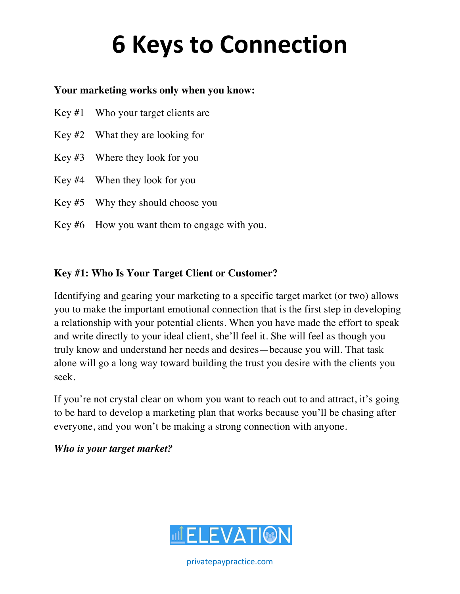#### **Your marketing works only when you know:**

- Key #1 Who your target clients are
- Key #2 What they are looking for
- Key #3 Where they look for you
- Key #4 When they look for you
- Key #5 Why they should choose you
- Key #6 How you want them to engage with you.

#### **Key #1: Who Is Your Target Client or Customer?**

Identifying and gearing your marketing to a specific target market (or two) allows you to make the important emotional connection that is the first step in developing a relationship with your potential clients. When you have made the effort to speak and write directly to your ideal client, she'll feel it. She will feel as though you truly know and understand her needs and desires—because you will. That task alone will go a long way toward building the trust you desire with the clients you seek.

If you're not crystal clear on whom you want to reach out to and attract, it's going to be hard to develop a marketing plan that works because you'll be chasing after everyone, and you won't be making a strong connection with anyone.

*Who is your target market?* 

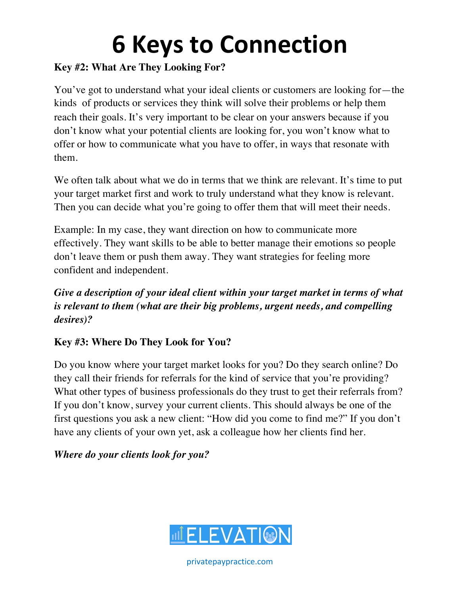#### **Key #2: What Are They Looking For?**

You've got to understand what your ideal clients or customers are looking for—the kinds of products or services they think will solve their problems or help them reach their goals. It's very important to be clear on your answers because if you don't know what your potential clients are looking for, you won't know what to offer or how to communicate what you have to offer, in ways that resonate with them.

We often talk about what we do in terms that we think are relevant. It's time to put your target market first and work to truly understand what they know is relevant. Then you can decide what you're going to offer them that will meet their needs.

Example: In my case, they want direction on how to communicate more effectively. They want skills to be able to better manage their emotions so people don't leave them or push them away. They want strategies for feeling more confident and independent.

*Give a description of your ideal client within your target market in terms of what is relevant to them (what are their big problems, urgent needs, and compelling desires)?* 

### **Key #3: Where Do They Look for You?**

Do you know where your target market looks for you? Do they search online? Do they call their friends for referrals for the kind of service that you're providing? What other types of business professionals do they trust to get their referrals from? If you don't know, survey your current clients. This should always be one of the first questions you ask a new client: "How did you come to find me?" If you don't have any clients of your own yet, ask a colleague how her clients find her.

#### *Where do your clients look for you?*

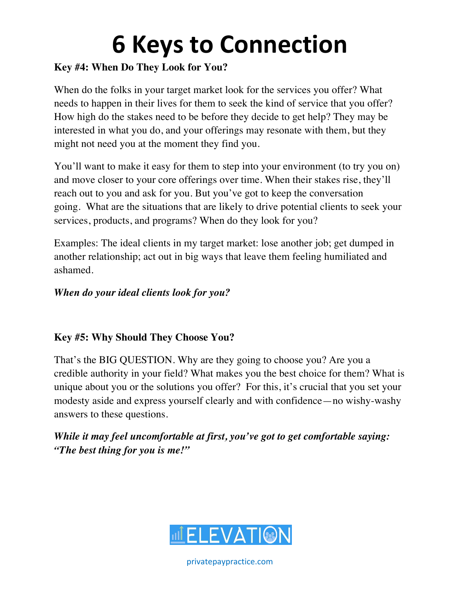#### **Key #4: When Do They Look for You?**

When do the folks in your target market look for the services you offer? What needs to happen in their lives for them to seek the kind of service that you offer? How high do the stakes need to be before they decide to get help? They may be interested in what you do, and your offerings may resonate with them, but they might not need you at the moment they find you.

You'll want to make it easy for them to step into your environment (to try you on) and move closer to your core offerings over time. When their stakes rise, they'll reach out to you and ask for you. But you've got to keep the conversation going. What are the situations that are likely to drive potential clients to seek your services, products, and programs? When do they look for you?

Examples: The ideal clients in my target market: lose another job; get dumped in another relationship; act out in big ways that leave them feeling humiliated and ashamed.

#### *When do your ideal clients look for you?*

#### **Key #5: Why Should They Choose You?**

That's the BIG QUESTION. Why are they going to choose you? Are you a credible authority in your field? What makes you the best choice for them? What is unique about you or the solutions you offer? For this, it's crucial that you set your modesty aside and express yourself clearly and with confidence—no wishy-washy answers to these questions.

*While it may feel uncomfortable at first, you've got to get comfortable saying: "The best thing for you is me!"*